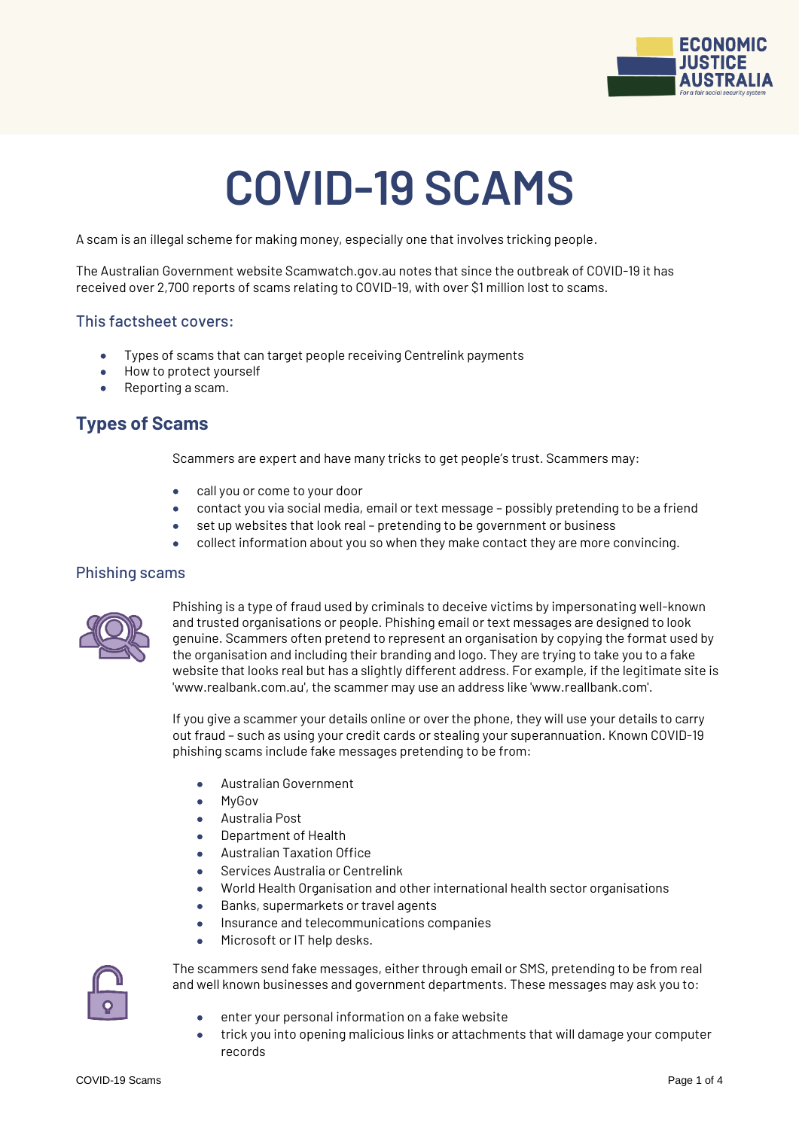

# **COVID-19 SCAMS**

A scam is an illegal scheme for making money, especially one that involves tricking people.

The Australian Government website Scamwatch.gov.au notes that since the outbreak of COVID-19 it has received over 2,700 reports of scams relating to COVID-19, with over \$1 million lost to scams.

#### This factsheet covers:

- Types of scams that can target people receiving Centrelink payments
- How to protect yourself
- Reporting a scam.

# **Types of Scams**

Scammers are expert and have many tricks to get people's trust. Scammers may:

- call you or come to your door
- contact you via social media, email or text message possibly pretending to be a friend
- set up websites that look real pretending to be government or business
- collect information about you so when they make contact they are more convincing.

#### Phishing scams



Phishing is a type of fraud used by criminals to deceive victims by impersonating well-known and trusted organisations or people. Phishing email or text messages are designed to look genuine. Scammers often pretend to represent an organisation by copying the format used by the organisation and including their branding and logo. They are trying to take you to a fake website that looks real but has a slightly different address. For example, if the legitimate site is 'www.realbank.com.au', the scammer may use an address like 'www.reallbank.com'.

If you give a scammer your details online or over the phone, they will use your details to carry out fraud – such as using your credit cards or stealing your superannuation. Known COVID-19 phishing scams include fake messages pretending to be from:

- Australian Government
- MyGov
- Australia Post
- Department of Health
- Australian Taxation Office
- Services Australia or Centrelink
- World Health Organisation and other international health sector organisations
- Banks, supermarkets or travel agents
- **Insurance and telecommunications companies**
- Microsoft or IT help desks.



The scammers send fake messages, either through email or SMS, pretending to be from real and well known businesses and government departments. These messages may ask you to:

- enter your personal information on a fake website
- trick you into opening malicious links or attachments that will damage your computer records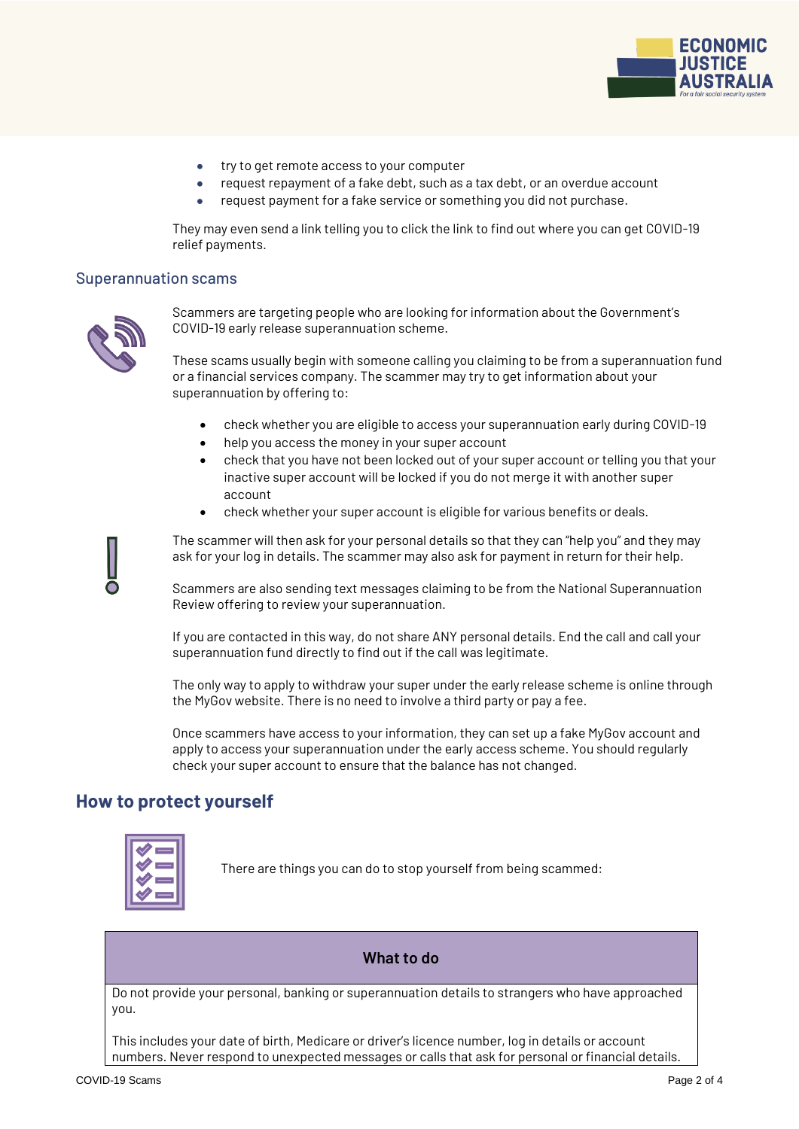

- try to get remote access to your computer
- request repayment of a fake debt, such as a tax debt, or an overdue account
- request payment for a fake service or something you did not purchase.

They may even send a link telling you to click the link to find out where you can get COVID-19 relief payments.

#### Superannuation scams



Scammers are targeting people who are looking for information about the Government's COVID-19 early release superannuation scheme.

These scams usually begin with someone calling you claiming to be from a superannuation fund or a financial services company. The scammer may try to get information about your superannuation by offering to:

- check whether you are eligible to access your superannuation early during COVID-19
- help you access the money in your super account
- check that you have not been locked out of your super account or telling you that your inactive super account will be locked if you do not merge it with another super account
- check whether your super account is eligible for various benefits or deals.

The scammer will then ask for your personal details so that they can "help you" and they may ask for your log in details. The scammer may also ask for payment in return for their help.

Scammers are also sending text messages claiming to be from the National Superannuation Review offering to review your superannuation.

If you are contacted in this way, do not share ANY personal details. End the call and call your superannuation fund directly to find out if the call was legitimate.

The only way to apply to withdraw your super under the early release scheme is online through the MyGov website. There is no need to involve a third party or pay a fee.

Once scammers have access to your information, they can set up a fake MyGov account and apply to access your superannuation under the early access scheme. You should regularly check your super account to ensure that the balance has not changed.

## **How to protect yourself**



There are things you can do to stop yourself from being scammed:

## **What to do**

Do not provide your personal, banking or superannuation details to strangers who have approached you.

This includes your date of birth, Medicare or driver's licence number, log in details or account numbers. Never respond to unexpected messages or calls that ask for personal or financial details.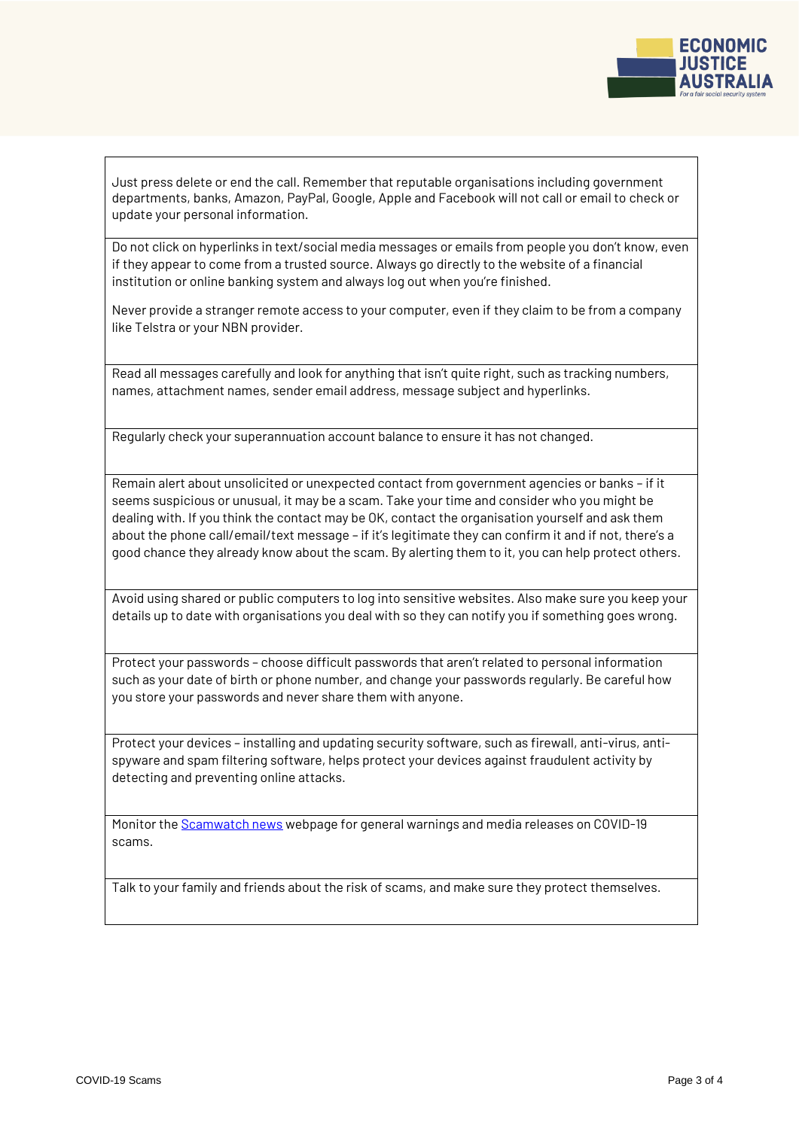

Just press delete or end the call. Remember that reputable organisations including government departments, banks, Amazon, PayPal, Google, Apple and Facebook will not call or email to check or update your personal information.

Do not click on hyperlinks in text/social media messages or emails from people you don't know, even if they appear to come from a trusted source. Always go directly to the website of a financial institution or online banking system and always log out when you're finished.

Never provide a stranger remote access to your computer, even if they claim to be from a company like Telstra or your NBN provider.

Read all messages carefully and look for anything that isn't quite right, such as tracking numbers, names, attachment names, sender email address, message subject and hyperlinks.

Regularly check your superannuation account balance to ensure it has not changed.

Remain alert about unsolicited or unexpected contact from government agencies or banks – if it seems suspicious or unusual, it may be a scam. Take your time and consider who you might be dealing with. If you think the contact may be OK, contact the organisation yourself and ask them about the phone call/email/text message – if it's legitimate they can confirm it and if not, there's a good chance they already know about the scam. By alerting them to it, you can help protect others.

Avoid using shared or public computers to log into sensitive websites. Also make sure you keep your details up to date with organisations you deal with so they can notify you if something goes wrong.

Protect your passwords – choose difficult passwords that aren't related to personal information such as your date of birth or phone number, and change your passwords regularly. Be careful how you store your passwords and never share them with anyone.

Protect your devices – installing and updating security software, such as firewall, anti-virus, antispyware and spam filtering software, helps protect your devices against fraudulent activity by detecting and preventing online attacks.

Monitor the [Scamwatch news](https://www.scamwatch.gov.au/news) webpage for general warnings and media releases on COVID-19 scams.

Talk to your family and friends about the risk of scams, and make sure they protect themselves.